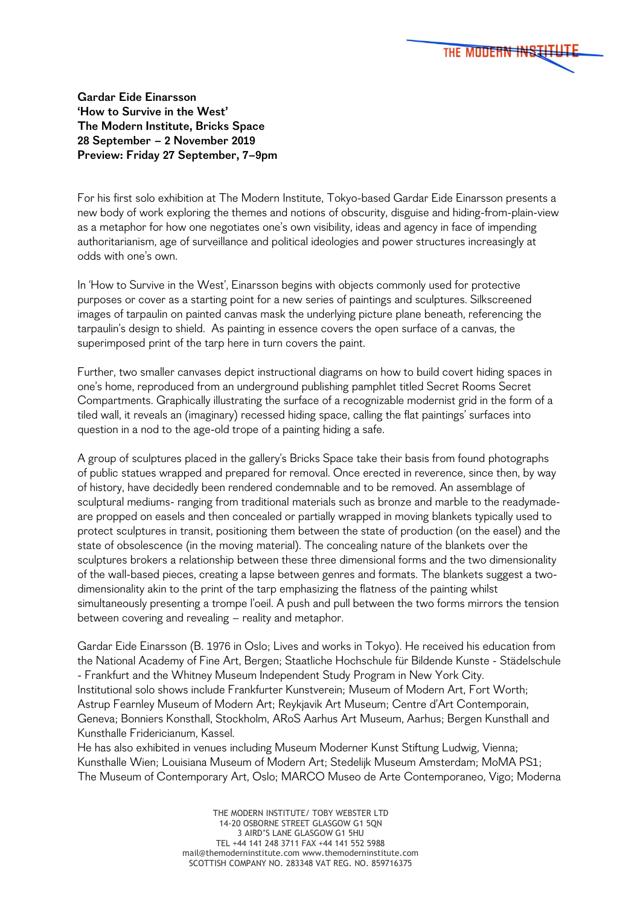

**Gardar Eide Einarsson 'How to Survive in the West' The Modern Institute, Bricks Space 28 September – 2 November 2019 Preview: Friday 27 September, 7–9pm**

For his first solo exhibition at The Modern Institute, Tokyo-based Gardar Eide Einarsson presents a new body of work exploring the themes and notions of obscurity, disguise and hiding-from-plain-view as a metaphor for how one negotiates one's own visibility, ideas and agency in face of impending authoritarianism, age of surveillance and political ideologies and power structures increasingly at odds with one's own.

In 'How to Survive in the West', Einarsson begins with objects commonly used for protective purposes or cover as a starting point for a new series of paintings and sculptures. Silkscreened images of tarpaulin on painted canvas mask the underlying picture plane beneath, referencing the tarpaulin's design to shield. As painting in essence covers the open surface of a canvas, the superimposed print of the tarp here in turn covers the paint.

Further, two smaller canvases depict instructional diagrams on how to build covert hiding spaces in one's home, reproduced from an underground publishing pamphlet titled Secret Rooms Secret Compartments. Graphically illustrating the surface of a recognizable modernist grid in the form of a tiled wall, it reveals an (imaginary) recessed hiding space, calling the flat paintings' surfaces into question in a nod to the age-old trope of a painting hiding a safe.

A group of sculptures placed in the gallery's Bricks Space take their basis from found photographs of public statues wrapped and prepared for removal. Once erected in reverence, since then, by way of history, have decidedly been rendered condemnable and to be removed. An assemblage of sculptural mediums- ranging from traditional materials such as bronze and marble to the readymadeare propped on easels and then concealed or partially wrapped in moving blankets typically used to protect sculptures in transit, positioning them between the state of production (on the easel) and the state of obsolescence (in the moving material). The concealing nature of the blankets over the sculptures brokers a relationship between these three dimensional forms and the two dimensionality of the wall-based pieces, creating a lapse between genres and formats. The blankets suggest a twodimensionality akin to the print of the tarp emphasizing the flatness of the painting whilst simultaneously presenting a trompe l'oeil. A push and pull between the two forms mirrors the tension between covering and revealing – reality and metaphor.

Gardar Eide Einarsson (B. 1976 in Oslo; Lives and works in Tokyo). He received his education from the National Academy of Fine Art, Bergen; Staatliche Hochschule für Bildende Kunste - Städelschule - Frankfurt and the Whitney Museum Independent Study Program in New York City. Institutional solo shows include Frankfurter Kunstverein; Museum of Modern Art, Fort Worth; Astrup Fearnley Museum of Modern Art; Reykjavik Art Museum; Centre d'Art Contemporain, Geneva; Bonniers Konsthall, Stockholm, ARoS Aarhus Art Museum, Aarhus; Bergen Kunsthall and Kunsthalle Fridericianum, Kassel.

He has also exhibited in venues including Museum Moderner Kunst Stiftung Ludwig, Vienna; Kunsthalle Wien; Louisiana Museum of Modern Art; Stedelijk Museum Amsterdam; MoMA PS1; The Museum of Contemporary Art, Oslo; MARCO Museo de Arte Contemporaneo, Vigo; Moderna

> THE MODERN INSTITUTE/ TOBY WEBSTER LTD 14-20 OSBORNE STREET GLASGOW G1 5ON 3 AIRD'S LANE GLASGOW G1 5HU TEL +44 141 248 3711 FAX +44 141 552 5988 mail@themoderninstitute.com www.themoderninstitute.com SCOTTISH COMPANY NO. 283348 VAT REG. NO. 859716375